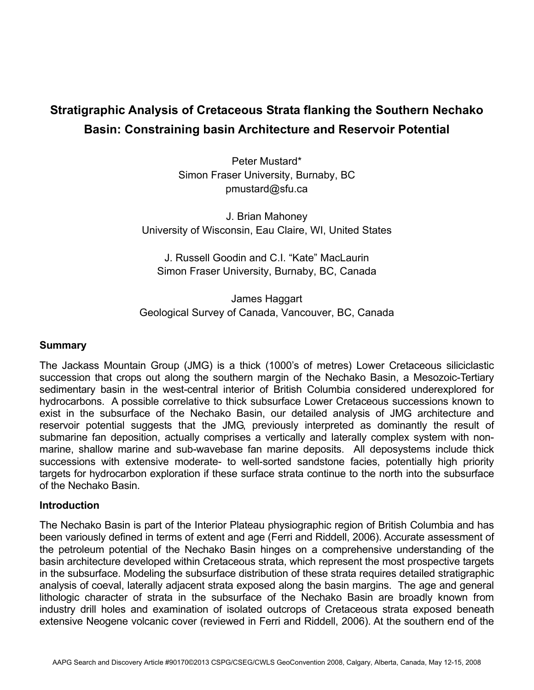# **Stratigraphic Analysis of Cretaceous Strata flanking the Southern Nechako Basin: Constraining basin Architecture and Reservoir Potential**

Peter Mustard\* Simon Fraser University, Burnaby, BC pmustard@sfu.ca

J. Brian Mahoney University of Wisconsin, Eau Claire, WI, United States

J. Russell Goodin and C.I. "Kate" MacLaurin Simon Fraser University, Burnaby, BC, Canada

James Haggart Geological Survey of Canada, Vancouver, BC, Canada

### **Summary**

The Jackass Mountain Group (JMG) is a thick (1000's of metres) Lower Cretaceous siliciclastic succession that crops out along the southern margin of the Nechako Basin, a Mesozoic-Tertiary sedimentary basin in the west-central interior of British Columbia considered underexplored for hydrocarbons. A possible correlative to thick subsurface Lower Cretaceous successions known to exist in the subsurface of the Nechako Basin, our detailed analysis of JMG architecture and reservoir potential suggests that the JMG, previously interpreted as dominantly the result of submarine fan deposition, actually comprises a vertically and laterally complex system with nonmarine, shallow marine and sub-wavebase fan marine deposits. All deposystems include thick successions with extensive moderate- to well-sorted sandstone facies, potentially high priority targets for hydrocarbon exploration if these surface strata continue to the north into the subsurface of the Nechako Basin.

#### **Introduction**

The Nechako Basin is part of the Interior Plateau physiographic region of British Columbia and has been variously defined in terms of extent and age (Ferri and Riddell, 2006). Accurate assessment of the petroleum potential of the Nechako Basin hinges on a comprehensive understanding of the basin architecture developed within Cretaceous strata, which represent the most prospective targets in the subsurface. Modeling the subsurface distribution of these strata requires detailed stratigraphic analysis of coeval, laterally adjacent strata exposed along the basin margins. The age and general lithologic character of strata in the subsurface of the Nechako Basin are broadly known from industry drill holes and examination of isolated outcrops of Cretaceous strata exposed beneath extensive Neogene volcanic cover (reviewed in Ferri and Riddell, 2006). At the southern end of the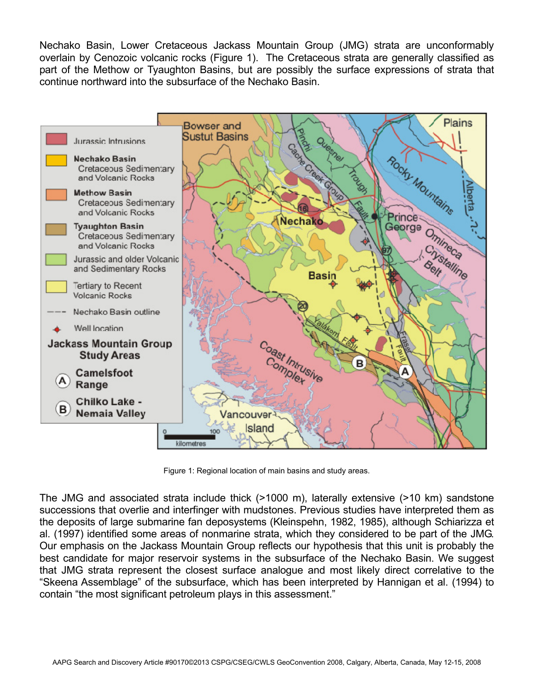Nechako Basin, Lower Cretaceous Jackass Mountain Group (JMG) strata are unconformably overlain by Cenozoic volcanic rocks (Figure 1). The Cretaceous strata are generally classified as part of the Methow or Tyaughton Basins, but are possibly the surface expressions of strata that continue northward into the subsurface of the Nechako Basin.



Figure 1: Regional location of main basins and study areas.

The JMG and associated strata include thick (>1000 m), laterally extensive (>10 km) sandstone successions that overlie and interfinger with mudstones. Previous studies have interpreted them as the deposits of large submarine fan deposystems (Kleinspehn, 1982, 1985), although Schiarizza et al. (1997) identified some areas of nonmarine strata, which they considered to be part of the JMG. Our emphasis on the Jackass Mountain Group reflects our hypothesis that this unit is probably the best candidate for major reservoir systems in the subsurface of the Nechako Basin. We suggest that JMG strata represent the closest surface analogue and most likely direct correlative to the "Skeena Assemblage" of the subsurface, which has been interpreted by Hannigan et al. (1994) to contain "the most significant petroleum plays in this assessment."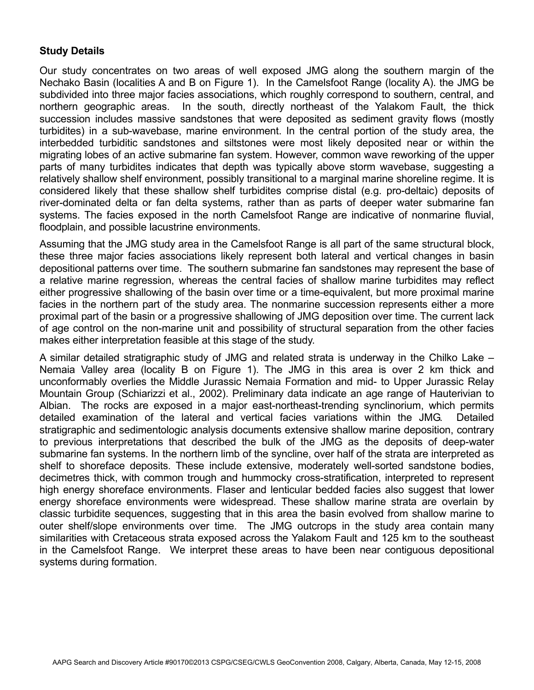## **Study Details**

Our study concentrates on two areas of well exposed JMG along the southern margin of the Nechako Basin (localities A and B on Figure 1). In the Camelsfoot Range (locality A). the JMG be subdivided into three major facies associations, which roughly correspond to southern, central, and northern geographic areas. In the south, directly northeast of the Yalakom Fault, the thick succession includes massive sandstones that were deposited as sediment gravity flows (mostly turbidites) in a sub-wavebase, marine environment. In the central portion of the study area, the interbedded turbiditic sandstones and siltstones were most likely deposited near or within the migrating lobes of an active submarine fan system. However, common wave reworking of the upper parts of many turbidites indicates that depth was typically above storm wavebase, suggesting a relatively shallow shelf environment, possibly transitional to a marginal marine shoreline regime. It is considered likely that these shallow shelf turbidites comprise distal (e.g. pro-deltaic) deposits of river-dominated delta or fan delta systems, rather than as parts of deeper water submarine fan systems. The facies exposed in the north Camelsfoot Range are indicative of nonmarine fluvial, floodplain, and possible lacustrine environments.

Assuming that the JMG study area in the Camelsfoot Range is all part of the same structural block, these three major facies associations likely represent both lateral and vertical changes in basin depositional patterns over time. The southern submarine fan sandstones may represent the base of a relative marine regression, whereas the central facies of shallow marine turbidites may reflect either progressive shallowing of the basin over time or a time-equivalent, but more proximal marine facies in the northern part of the study area. The nonmarine succession represents either a more proximal part of the basin or a progressive shallowing of JMG deposition over time. The current lack of age control on the non-marine unit and possibility of structural separation from the other facies makes either interpretation feasible at this stage of the study.

A similar detailed stratigraphic study of JMG and related strata is underway in the Chilko Lake – Nemaia Valley area (locality B on Figure 1). The JMG in this area is over 2 km thick and unconformably overlies the Middle Jurassic Nemaia Formation and mid- to Upper Jurassic Relay Mountain Group (Schiarizzi et al., 2002). Preliminary data indicate an age range of Hauterivian to Albian. The rocks are exposed in a major east-northeast-trending synclinorium, which permits detailed examination of the lateral and vertical facies variations within the JMG. Detailed stratigraphic and sedimentologic analysis documents extensive shallow marine deposition, contrary to previous interpretations that described the bulk of the JMG as the deposits of deep-water submarine fan systems. In the northern limb of the syncline, over half of the strata are interpreted as shelf to shoreface deposits. These include extensive, moderately well-sorted sandstone bodies, decimetres thick, with common trough and hummocky cross-stratification, interpreted to represent high energy shoreface environments. Flaser and lenticular bedded facies also suggest that lower energy shoreface environments were widespread. These shallow marine strata are overlain by classic turbidite sequences, suggesting that in this area the basin evolved from shallow marine to outer shelf/slope environments over time. The JMG outcrops in the study area contain many similarities with Cretaceous strata exposed across the Yalakom Fault and 125 km to the southeast in the Camelsfoot Range. We interpret these areas to have been near contiguous depositional systems during formation.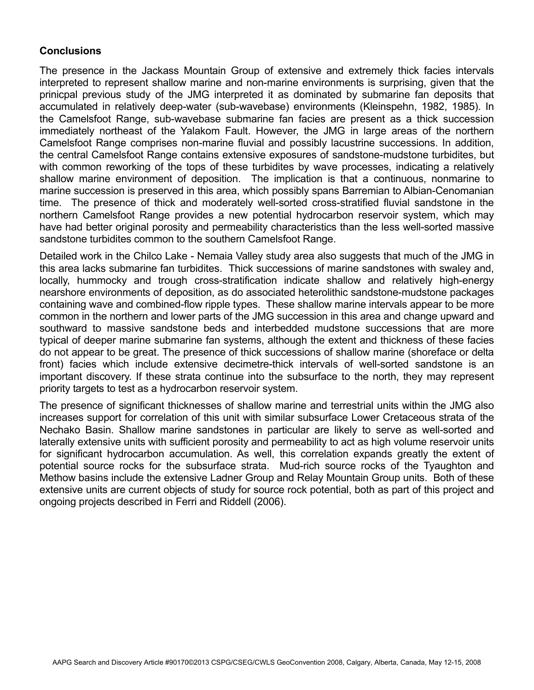# **Conclusions**

The presence in the Jackass Mountain Group of extensive and extremely thick facies intervals interpreted to represent shallow marine and non-marine environments is surprising, given that the prinicpal previous study of the JMG interpreted it as dominated by submarine fan deposits that accumulated in relatively deep-water (sub-wavebase) environments (Kleinspehn, 1982, 1985). In the Camelsfoot Range, sub-wavebase submarine fan facies are present as a thick succession immediately northeast of the Yalakom Fault. However, the JMG in large areas of the northern Camelsfoot Range comprises non-marine fluvial and possibly lacustrine successions. In addition, the central Camelsfoot Range contains extensive exposures of sandstone-mudstone turbidites, but with common reworking of the tops of these turbidites by wave processes, indicating a relatively shallow marine environment of deposition. The implication is that a continuous, nonmarine to marine succession is preserved in this area, which possibly spans Barremian to Albian-Cenomanian time. The presence of thick and moderately well-sorted cross-stratified fluvial sandstone in the northern Camelsfoot Range provides a new potential hydrocarbon reservoir system, which may have had better original porosity and permeability characteristics than the less well-sorted massive sandstone turbidites common to the southern Camelsfoot Range.

Detailed work in the Chilco Lake - Nemaia Valley study area also suggests that much of the JMG in this area lacks submarine fan turbidites. Thick successions of marine sandstones with swaley and, locally, hummocky and trough cross-stratification indicate shallow and relatively high-energy nearshore environments of deposition, as do associated heterolithic sandstone-mudstone packages containing wave and combined-flow ripple types. These shallow marine intervals appear to be more common in the northern and lower parts of the JMG succession in this area and change upward and southward to massive sandstone beds and interbedded mudstone successions that are more typical of deeper marine submarine fan systems, although the extent and thickness of these facies do not appear to be great. The presence of thick successions of shallow marine (shoreface or delta front) facies which include extensive decimetre-thick intervals of well-sorted sandstone is an important discovery. If these strata continue into the subsurface to the north, they may represent priority targets to test as a hydrocarbon reservoir system.

The presence of significant thicknesses of shallow marine and terrestrial units within the JMG also increases support for correlation of this unit with similar subsurface Lower Cretaceous strata of the Nechako Basin. Shallow marine sandstones in particular are likely to serve as well-sorted and laterally extensive units with sufficient porosity and permeability to act as high volume reservoir units for significant hydrocarbon accumulation. As well, this correlation expands greatly the extent of potential source rocks for the subsurface strata. Mud-rich source rocks of the Tyaughton and Methow basins include the extensive Ladner Group and Relay Mountain Group units. Both of these extensive units are current objects of study for source rock potential, both as part of this project and ongoing projects described in Ferri and Riddell (2006).